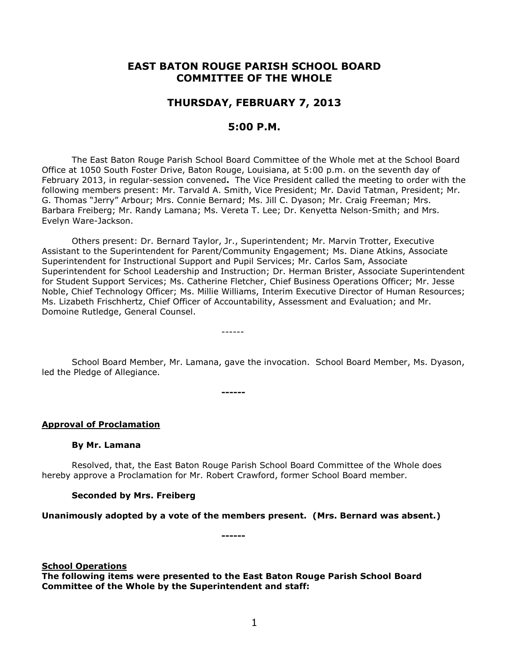# **EAST BATON ROUGE PARISH SCHOOL BOARD COMMITTEE OF THE WHOLE**

# **THURSDAY, FEBRUARY 7, 2013**

# **5:00 P.M.**

The East Baton Rouge Parish School Board Committee of the Whole met at the School Board Office at 1050 South Foster Drive, Baton Rouge, Louisiana, at 5:00 p.m. on the seventh day of February 2013, in regular-session convened**.** The Vice President called the meeting to order with the following members present: Mr. Tarvald A. Smith, Vice President; Mr. David Tatman, President; Mr. G. Thomas "Jerry" Arbour; Mrs. Connie Bernard; Ms. Jill C. Dyason; Mr. Craig Freeman; Mrs. Barbara Freiberg; Mr. Randy Lamana; Ms. Vereta T. Lee; Dr. Kenyetta Nelson-Smith; and Mrs. Evelyn Ware-Jackson.

Others present: Dr. Bernard Taylor, Jr., Superintendent; Mr. Marvin Trotter, Executive Assistant to the Superintendent for Parent/Community Engagement; Ms. Diane Atkins, Associate Superintendent for Instructional Support and Pupil Services; Mr. Carlos Sam, Associate Superintendent for School Leadership and Instruction; Dr. Herman Brister, Associate Superintendent for Student Support Services; Ms. Catherine Fletcher, Chief Business Operations Officer; Mr. Jesse Noble, Chief Technology Officer; Ms. Millie Williams, Interim Executive Director of Human Resources; Ms. Lizabeth Frischhertz, Chief Officer of Accountability, Assessment and Evaluation; and Mr. Domoine Rutledge, General Counsel.

School Board Member, Mr. Lamana, gave the invocation. School Board Member, Ms. Dyason, led the Pledge of Allegiance.

------

**------**

**Approval of Proclamation**

#### **By Mr. Lamana**

Resolved, that, the East Baton Rouge Parish School Board Committee of the Whole does hereby approve a Proclamation for Mr. Robert Crawford, former School Board member.

#### **Seconded by Mrs. Freiberg**

#### **Unanimously adopted by a vote of the members present. (Mrs. Bernard was absent.)**

**------**

#### **School Operations**

**The following items were presented to the East Baton Rouge Parish School Board Committee of the Whole by the Superintendent and staff:**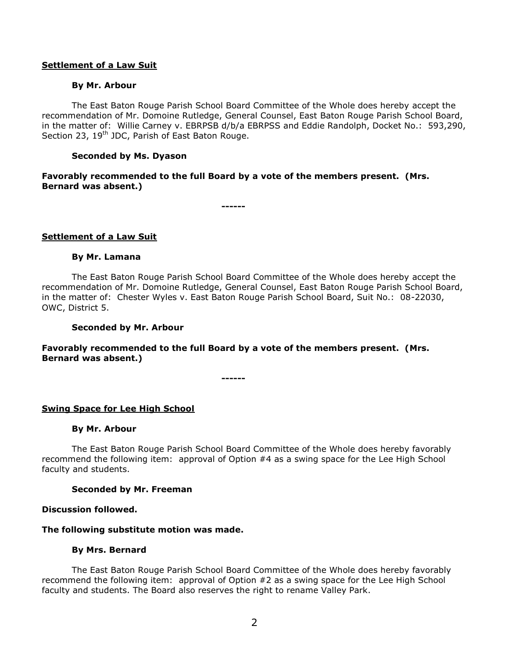### **Settlement of a Law Suit**

### **By Mr. Arbour**

The East Baton Rouge Parish School Board Committee of the Whole does hereby accept the recommendation of Mr. Domoine Rutledge, General Counsel, East Baton Rouge Parish School Board, in the matter of: Willie Carney v. EBRPSB d/b/a EBRPSS and Eddie Randolph, Docket No.: 593,290, Section 23, 19<sup>th</sup> JDC, Parish of East Baton Rouge.

### **Seconded by Ms. Dyason**

## **Favorably recommended to the full Board by a vote of the members present. (Mrs. Bernard was absent.)**

**------**

### **Settlement of a Law Suit**

#### **By Mr. Lamana**

The East Baton Rouge Parish School Board Committee of the Whole does hereby accept the recommendation of Mr. Domoine Rutledge, General Counsel, East Baton Rouge Parish School Board, in the matter of: Chester Wyles v. East Baton Rouge Parish School Board, Suit No.: 08-22030, OWC, District 5.

#### **Seconded by Mr. Arbour**

## **Favorably recommended to the full Board by a vote of the members present. (Mrs. Bernard was absent.)**

**------**

## **Swing Space for Lee High School**

#### **By Mr. Arbour**

The East Baton Rouge Parish School Board Committee of the Whole does hereby favorably recommend the following item: approval of Option #4 as a swing space for the Lee High School faculty and students.

#### **Seconded by Mr. Freeman**

## **Discussion followed.**

### **The following substitute motion was made.**

#### **By Mrs. Bernard**

The East Baton Rouge Parish School Board Committee of the Whole does hereby favorably recommend the following item: approval of Option #2 as a swing space for the Lee High School faculty and students. The Board also reserves the right to rename Valley Park.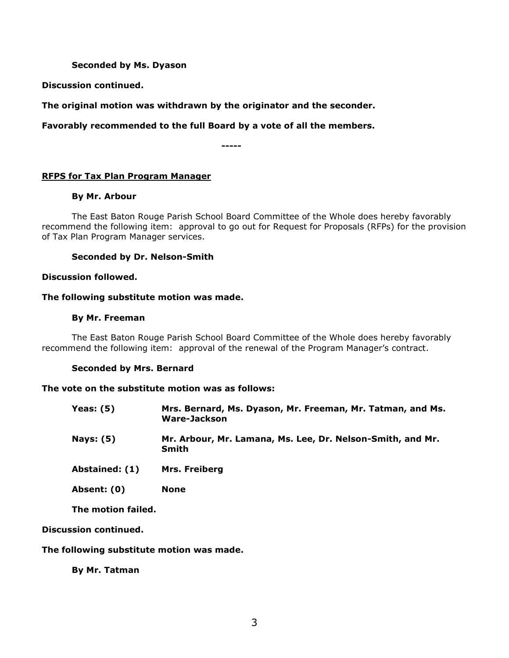## **Seconded by Ms. Dyason**

**Discussion continued.**

**The original motion was withdrawn by the originator and the seconder.** 

**Favorably recommended to the full Board by a vote of all the members.**

**-----**

## **RFPS for Tax Plan Program Manager**

## **By Mr. Arbour**

The East Baton Rouge Parish School Board Committee of the Whole does hereby favorably recommend the following item: approval to go out for Request for Proposals (RFPs) for the provision of Tax Plan Program Manager services.

### **Seconded by Dr. Nelson-Smith**

### **Discussion followed.**

### **The following substitute motion was made.**

### **By Mr. Freeman**

The East Baton Rouge Parish School Board Committee of the Whole does hereby favorably recommend the following item: approval of the renewal of the Program Manager's contract.

## **Seconded by Mrs. Bernard**

#### **The vote on the substitute motion was as follows:**

| Yeas: (5)    | Mrs. Bernard, Ms. Dyason, Mr. Freeman, Mr. Tatman, and Ms.<br>Ware-Jackson |
|--------------|----------------------------------------------------------------------------|
| . <i>.</i> . |                                                                            |

- **Nays: (5) Mr. Arbour, Mr. Lamana, Ms. Lee, Dr. Nelson-Smith, and Mr. Smith**
- **Abstained: (1) Mrs. Freiberg**
- **Absent: (0) None**

**The motion failed.**

## **Discussion continued.**

## **The following substitute motion was made.**

**By Mr. Tatman**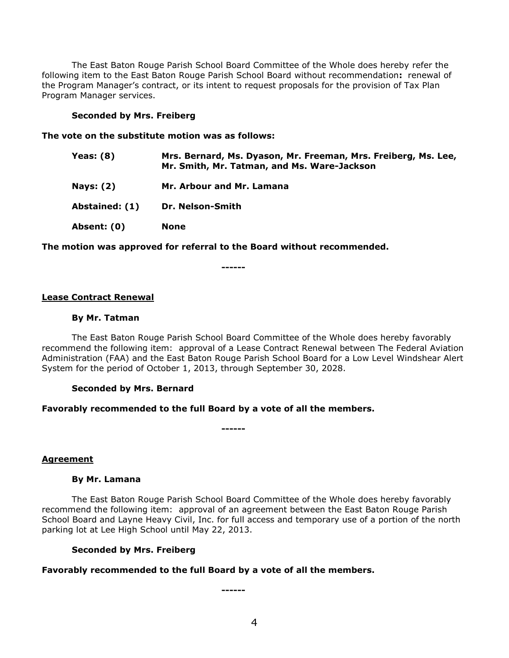The East Baton Rouge Parish School Board Committee of the Whole does hereby refer the following item to the East Baton Rouge Parish School Board without recommendation**:** renewal of the Program Manager's contract, or its intent to request proposals for the provision of Tax Plan Program Manager services.

#### **Seconded by Mrs. Freiberg**

#### **The vote on the substitute motion was as follows:**

| <b>Yeas: (8)</b> | Mrs. Bernard, Ms. Dyason, Mr. Freeman, Mrs. Freiberg, Ms. Lee,<br>Mr. Smith, Mr. Tatman, and Ms. Ware-Jackson |
|------------------|---------------------------------------------------------------------------------------------------------------|
| <b>Nays: (2)</b> | Mr. Arbour and Mr. Lamana                                                                                     |
| Abstained: (1)   | Dr. Nelson-Smith                                                                                              |
| Absent: (0)      | None                                                                                                          |

#### **The motion was approved for referral to the Board without recommended.**

**------**

#### **Lease Contract Renewal**

#### **By Mr. Tatman**

The East Baton Rouge Parish School Board Committee of the Whole does hereby favorably recommend the following item: approval of a Lease Contract Renewal between The Federal Aviation Administration (FAA) and the East Baton Rouge Parish School Board for a Low Level Windshear Alert System for the period of October 1, 2013, through September 30, 2028.

#### **Seconded by Mrs. Bernard**

#### **Favorably recommended to the full Board by a vote of all the members.**

**------**

**Agreement**

### **By Mr. Lamana**

The East Baton Rouge Parish School Board Committee of the Whole does hereby favorably recommend the following item: approval of an agreement between the East Baton Rouge Parish School Board and Layne Heavy Civil, Inc. for full access and temporary use of a portion of the north parking lot at Lee High School until May 22, 2013.

#### **Seconded by Mrs. Freiberg**

#### **Favorably recommended to the full Board by a vote of all the members.**

**------**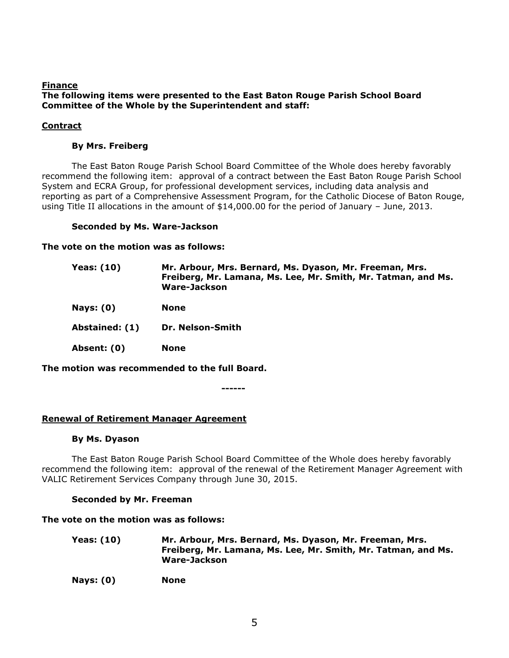### **Finance The following items were presented to the East Baton Rouge Parish School Board Committee of the Whole by the Superintendent and staff:**

# **Contract**

# **By Mrs. Freiberg**

The East Baton Rouge Parish School Board Committee of the Whole does hereby favorably recommend the following item: approval of a contract between the East Baton Rouge Parish School System and ECRA Group, for professional development services, including data analysis and reporting as part of a Comprehensive Assessment Program, for the Catholic Diocese of Baton Rouge, using Title II allocations in the amount of \$14,000.00 for the period of January – June, 2013.

## **Seconded by Ms. Ware-Jackson**

**The vote on the motion was as follows:**

| <b>Yeas: (10)</b> | Mr. Arbour, Mrs. Bernard, Ms. Dyason, Mr. Freeman, Mrs.<br>Freiberg, Mr. Lamana, Ms. Lee, Mr. Smith, Mr. Tatman, and Ms.<br>Ware-Jackson |
|-------------------|------------------------------------------------------------------------------------------------------------------------------------------|
| <b>Nays: (0)</b>  | <b>None</b>                                                                                                                              |
| Abstained: (1)    | Dr. Nelson-Smith                                                                                                                         |
| Absent: (0)       | <b>None</b>                                                                                                                              |

**The motion was recommended to the full Board.**

**------**

# **Renewal of Retirement Manager Agreement**

## **By Ms. Dyason**

The East Baton Rouge Parish School Board Committee of the Whole does hereby favorably recommend the following item: approval of the renewal of the Retirement Manager Agreement with VALIC Retirement Services Company through June 30, 2015.

# **Seconded by Mr. Freeman**

## **The vote on the motion was as follows:**

**Yeas: (10) Mr. Arbour, Mrs. Bernard, Ms. Dyason, Mr. Freeman, Mrs. Freiberg, Mr. Lamana, Ms. Lee, Mr. Smith, Mr. Tatman, and Ms. Ware-Jackson**

**Nays: (0) None**